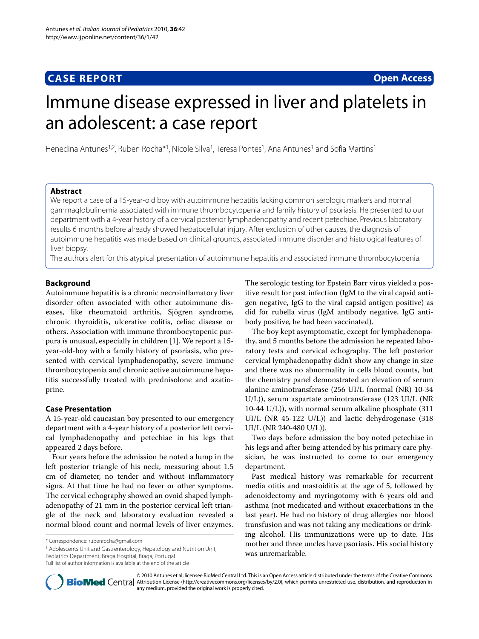# **CASE REPORT Open Access**

# Immune disease expressed in liver and platelets in an adolescent: a case report

Henedina Antunes<sup>1,2</sup>, Ruben Rocha<sup>\*1</sup>, Nicole Silva<sup>1</sup>, Teresa Pontes<sup>1</sup>, Ana Antunes<sup>1</sup> and Sofia Martins<sup>1</sup>

# **Abstract**

We report a case of a 15-year-old boy with autoimmune hepatitis lacking common serologic markers and normal gammaglobulinemia associated with immune thrombocytopenia and family history of psoriasis. He presented to our department with a 4-year history of a cervical posterior lymphadenopathy and recent petechiae. Previous laboratory results 6 months before already showed hepatocellular injury. After exclusion of other causes, the diagnosis of autoimmune hepatitis was made based on clinical grounds, associated immune disorder and histological features of liver biopsy.

The authors alert for this atypical presentation of autoimmune hepatitis and associated immune thrombocytopenia.

# **Background**

Autoimmune hepatitis is a chronic necroinflamatory liver disorder often associated with other autoimmune diseases, like rheumatoid arthritis, Sjögren syndrome, chronic thyroiditis, ulcerative colitis, celiac disease or others. Association with immune thrombocytopenic purpura is unusual, especially in children [\[1](#page-2-0)]. We report a 15 year-old-boy with a family history of psoriasis, who presented with cervical lymphadenopathy, severe immune thrombocytopenia and chronic active autoimmune hepatitis successfully treated with prednisolone and azatioprine.

# **Case Presentation**

A 15-year-old caucasian boy presented to our emergency department with a 4-year history of a posterior left cervical lymphadenopathy and petechiae in his legs that appeared 2 days before.

Four years before the admission he noted a lump in the left posterior triangle of his neck, measuring about 1.5 cm of diameter, no tender and without inflammatory signs. At that time he had no fever or other symptoms. The cervical echography showed an ovoid shaped lymphadenopathy of 21 mm in the posterior cervical left triangle of the neck and laboratory evaluation revealed a normal blood count and normal levels of liver enzymes.

1 Adolescents Unit and Gastrenterology, Hepatology and Nutrition Unit, Pediatrics Department, Braga Hospital, Braga, Portugal

Full list of author information is available at the end of the article

The serologic testing for Epstein Barr virus yielded a positive result for past infection (IgM to the viral capsid antigen negative, IgG to the viral capsid antigen positive) as did for rubella virus (IgM antibody negative, IgG antibody positive, he had been vaccinated).

The boy kept asymptomatic, except for lymphadenopathy, and 5 months before the admission he repeated laboratory tests and cervical echography. The left posterior cervical lymphadenopathy didn't show any change in size and there was no abnormality in cells blood counts, but the chemistry panel demonstrated an elevation of serum alanine aminotransferase (256 UI/L (normal (NR) 10-34 U/L)), serum aspartate aminotransferase (123 UI/L (NR 10-44 U/L)), with normal serum alkaline phosphate (311 UI/L (NR 45-122 U/L)) and lactic dehydrogenase (318 UI/L (NR 240-480 U/L)).

Two days before admission the boy noted petechiae in his legs and after being attended by his primary care physician, he was instructed to come to our emergency department.

Past medical history was remarkable for recurrent media otitis and mastoiditis at the age of 5, followed by adenoidectomy and myringotomy with 6 years old and asthma (not medicated and without exacerbations in the last year). He had no history of drug allergies nor blood transfusion and was not taking any medications or drinking alcohol. His immunizations were up to date. His mother and three uncles have psoriasis. His social history was unremarkable.



© 2010 Antunes et al; licensee BioMed Central Ltd. This is an Open Access article distributed under the terms of the Creative Commons **Bio Med Centra** Attribution License (http://creativecommons.org/licenses/by/2.0), which permits unrestricted use, distribution, and reproduction in any medium, provided the original work is properly cited.

<sup>\*</sup> Correspondence: rubenrocha@gmail.com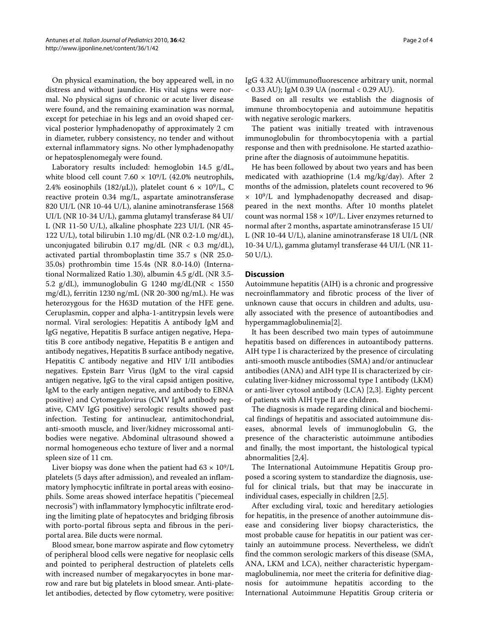On physical examination, the boy appeared well, in no distress and without jaundice. His vital signs were normal. No physical signs of chronic or acute liver disease were found, and the remaining examination was normal, except for petechiae in his legs and an ovoid shaped cervical posterior lymphadenopathy of approximately 2 cm in diameter, rubbery consistency, no tender and without external inflammatory signs. No other lymphadenopathy or hepatosplenomegaly were found.

Laboratory results included: hemoglobin 14.5 g/dL, white blood cell count 7.60  $\times$  10<sup>9</sup>/L (42.0% neutrophils, 2.4% eosinophils (182/μL)), platelet count  $6 \times 10^9$ /L, C reactive protein 0.34 mg/L, aspartate aminotransferase 820 UI/L (NR 10-44 U/L), alanine aminotransferase 1568 UI/L (NR 10-34 U/L), gamma glutamyl transferase 84 UI/ L (NR 11-50 U/L), alkaline phosphate 223 UI/L (NR 45- 122 U/L), total bilirubin 1.10 mg/dL (NR 0.2-1.0 mg/dL), unconjugated bilirubin 0.17 mg/dL (NR < 0.3 mg/dL), activated partial thromboplastin time 35.7 s (NR 25.0- 35.0s) prothrombin time 15.4s (NR 8.0-14.0) (International Normalized Ratio 1.30), albumin 4.5 g/dL (NR 3.5- 5.2 g/dL), immunoglobulin G 1240 mg/dL(NR < 1550 mg/dL), ferritin 1230 ng/mL (NR 20-300 ng/mL). He was heterozygous for the H63D mutation of the HFE gene. Ceruplasmin, copper and alpha-1-antitrypsin levels were normal. Viral serologies: Hepatitis A antibody IgM and IgG negative, Hepatitis B surface antigen negative, Hepatitis B core antibody negative, Hepatitis B e antigen and antibody negatives, Hepatitis B surface antibody negative, Hepatitis C antibody negative and HIV I/II antibodies negatives. Epstein Barr Virus (IgM to the viral capsid antigen negative, IgG to the viral capsid antigen positive, IgM to the early antigen negative, and antibody to EBNA positive) and Cytomegalovirus (CMV IgM antibody negative, CMV IgG positive) serologic results showed past infection. Testing for antinuclear, antimitochondrial, anti-smooth muscle, and liver/kidney microssomal antibodies were negative. Abdominal ultrasound showed a normal homogeneous echo texture of liver and a normal spleen size of 11 cm.

Liver biopsy was done when the patient had  $63 \times 10^9$ /L platelets (5 days after admission), and revealed an inflammatory lymphocytic infiltrate in portal areas with eosinophils. Some areas showed interface hepatitis ("piecemeal necrosis") with inflammatory lymphocytic infiltrate eroding the limiting plate of hepatocytes and bridging fibrosis with porto-portal fibrous septa and fibrous in the periportal area. Bile ducts were normal.

Blood smear, bone marrow aspirate and flow cytometry of peripheral blood cells were negative for neoplasic cells and pointed to peripheral destruction of platelets cells with increased number of megakaryocytes in bone marrow and rare but big platelets in blood smear. Anti-platelet antibodies, detected by flow cytometry, were positive:

IgG 4.32 AU(immunofluorescence arbitrary unit, normal < 0.33 AU); IgM 0.39 UA (normal < 0.29 AU).

Based on all results we establish the diagnosis of immune thrombocytopenia and autoimmune hepatitis with negative serologic markers.

The patient was initially treated with intravenous immunoglobulin for thrombocytopenia with a partial response and then with prednisolone. He started azathioprine after the diagnosis of autoimmune hepatitis.

He has been followed by about two years and has been medicated with azathioprine (1.4 mg/kg/day). After 2 months of the admission, platelets count recovered to 96  $\times$  10<sup>9</sup>/L and lymphadenopathy decreased and disappeared in the next months. After 10 months platelet count was normal  $158 \times 10^9$ /L. Liver enzymes returned to normal after 2 months, aspartate aminotransferase 15 UI/ L (NR 10-44 U/L), alanine aminotransferase 18 UI/L (NR 10-34 U/L), gamma glutamyl transferase 44 UI/L (NR 11- 50 U/L).

# **Discussion**

Autoimmune hepatitis (AIH) is a chronic and progressive necroinflammatory and fibrotic process of the liver of unknown cause that occurs in children and adults, usually associated with the presence of autoantibodies and hypergammaglobulinemia[[2\]](#page-2-1).

It has been described two main types of autoimmune hepatitis based on differences in autoantibody patterns. AIH type I is characterized by the presence of circulating anti-smooth muscle antibodies (SMA) and/or antinuclear antibodies (ANA) and AIH type II is characterized by circulating liver-kidney microssomal type I antibody (LKM) or anti-liver cytosol antibody (LCA) [[2,](#page-2-1)[3\]](#page-2-2). Eighty percent of patients with AIH type II are children.

The diagnosis is made regarding clinical and biochemical findings of hepatitis and associated autoimmune diseases, abnormal levels of immunoglobulin G, the presence of the characteristic autoimmune antibodies and finally, the most important, the histological typical abnormalities [\[2](#page-2-1)[,4](#page-2-3)].

The International Autoimmune Hepatitis Group proposed a scoring system to standardize the diagnosis, useful for clinical trials, but that may be inaccurate in individual cases, especially in children [[2](#page-2-1),[5\]](#page-3-0).

After excluding viral, toxic and hereditary aetiologies for hepatitis, in the presence of another autoimmune disease and considering liver biopsy characteristics, the most probable cause for hepatitis in our patient was certainly an autoimmune process. Nevertheless, we didn't find the common serologic markers of this disease (SMA, ANA, LKM and LCA), neither characteristic hypergammaglobulinemia, nor meet the criteria for definitive diagnosis for autoimmune hepatitis according to the International Autoimmune Hepatitis Group criteria or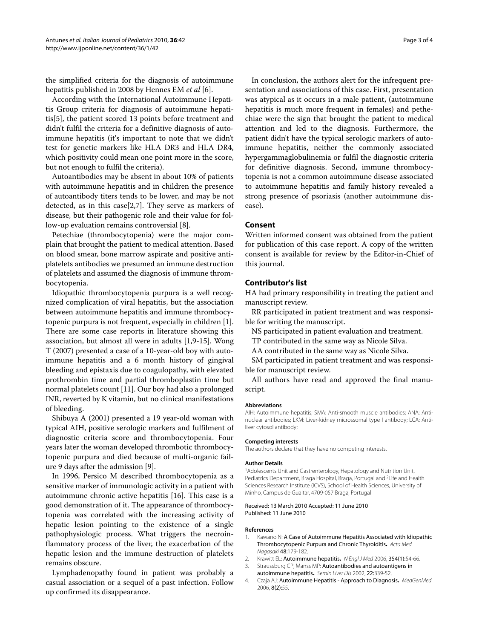the simplified criteria for the diagnosis of autoimmune hepatitis published in 2008 by Hennes EM *et al* [\[6](#page-3-1)].

According with the International Autoimmune Hepatitis Group criteria for diagnosis of autoimmune hepatitis[[5\]](#page-3-0), the patient scored 13 points before treatment and didn't fulfil the criteria for a definitive diagnosis of autoimmune hepatitis (it's important to note that we didn't test for genetic markers like HLA DR3 and HLA DR4, which positivity could mean one point more in the score, but not enough to fulfil the criteria).

Autoantibodies may be absent in about 10% of patients with autoimmune hepatitis and in children the presence of autoantibody titers tends to be lower, and may be not detected, as in this case[[2,](#page-2-1)[7\]](#page-3-2). They serve as markers of disease, but their pathogenic role and their value for follow-up evaluation remains controversial [[8](#page-3-3)].

Petechiae (thrombocytopenia) were the major complain that brought the patient to medical attention. Based on blood smear, bone marrow aspirate and positive antiplatelets antibodies we presumed an immune destruction of platelets and assumed the diagnosis of immune thrombocytopenia.

Idiopathic thrombocytopenia purpura is a well recognized complication of viral hepatitis, but the association between autoimmune hepatitis and immune thrombocytopenic purpura is not frequent, especially in children [\[1](#page-2-0)]. There are some case reports in literature showing this association, but almost all were in adults [\[1](#page-2-0)[,9](#page-3-4)-[15\]](#page-3-5). Wong T (2007) presented a case of a 10-year-old boy with autoimmune hepatitis and a 6 month history of gingival bleeding and epistaxis due to coagulopathy, with elevated prothrombin time and partial thromboplastin time but normal platelets count [\[11](#page-3-6)]. Our boy had also a prolonged INR, reverted by K vitamin, but no clinical manifestations of bleeding.

Shibuya A (2001) presented a 19 year-old woman with typical AIH, positive serologic markers and fulfilment of diagnostic criteria score and thrombocytopenia. Four years later the woman developed thrombotic thrombocytopenic purpura and died because of multi-organic failure 9 days after the admission [\[9](#page-3-4)].

In 1996, Persico M described thrombocytopenia as a sensitive marker of immunologic activity in a patient with autoimmune chronic active hepatitis [\[16](#page-3-7)]. This case is a good demonstration of it. The appearance of thrombocytopenia was correlated with the increasing activity of hepatic lesion pointing to the existence of a single pathophysiologic process. What triggers the necroinflammatory process of the liver, the exacerbation of the hepatic lesion and the immune destruction of platelets remains obscure.

Lymphadenopathy found in patient was probably a casual association or a sequel of a past infection. Follow up confirmed its disappearance.

In conclusion, the authors alert for the infrequent presentation and associations of this case. First, presentation was atypical as it occurs in a male patient, (autoimmune hepatitis is much more frequent in females) and pethechiae were the sign that brought the patient to medical attention and led to the diagnosis. Furthermore, the patient didn't have the typical serologic markers of autoimmune hepatitis, neither the commonly associated hypergammaglobulinemia or fulfil the diagnostic criteria for definitive diagnosis. Second, immune thrombocytopenia is not a common autoimmune disease associated to autoimmune hepatitis and family history revealed a strong presence of psoriasis (another autoimmune disease).

## **Consent**

Written informed consent was obtained from the patient for publication of this case report. A copy of the written consent is available for review by the Editor-in-Chief of this journal.

# **Contributor's list**

HA had primary responsibility in treating the patient and manuscript review.

RR participated in patient treatment and was responsible for writing the manuscript.

- NS participated in patient evaluation and treatment.
- TP contributed in the same way as Nicole Silva.
- AA contributed in the same way as Nicole Silva.

SM participated in patient treatment and was responsible for manuscript review.

All authors have read and approved the final manuscript.

#### **Abbreviations**

AIH: Autoimmune hepatitis; SMA: Anti-smooth muscle antibodies; ANA: Antinuclear antibodies; LKM: Liver-kidney microssomal type I antibody; LCA: Antiliver cytosol antibody;

#### **Competing interests**

The authors declare that they have no competing interests.

#### **Author Details**

1Adolescents Unit and Gastrenterology, Hepatology and Nutrition Unit, Pediatrics Department, Braga Hospital, Braga, Portugal and 2Life and Health Sciences Research Institute (ICVS), School of Health Sciences, University of Minho, Campus de Gualtar, 4709-057 Braga, Portugal

#### Received: 13 March 2010 Accepted: 11 June 2010 Published: 11 June 2010

#### **References**

- <span id="page-2-0"></span>1. Kawano N: A Case of Autoimmune Hepatitis Associated with Idiopathic Thrombocytopenic Purpura and Chronic Thyroiditis**.** Acta Med. Nagasaki 48:179-182.
- <span id="page-2-1"></span>2. Krawitt EL: Autoimmune hepatitis**[.](http://www.ncbi.nlm.nih.gov/entrez/query.fcgi?cmd=Retrieve&db=PubMed&dopt=Abstract&list_uids=16394302)** N Engl J Med 2006, 354(1):54-66.
- <span id="page-2-2"></span>3. Straussburg CP, Manss MP: Autoantibodies and autoantigens in autoimmune hepatitis**.** Semin Liver Dis 2002, 22:339-52.
- <span id="page-2-3"></span>4. Czaja AJ: Autoimmune Hepatitis - Approach to Diagnosis**.** MedGenMed 2006, 8(2):55.